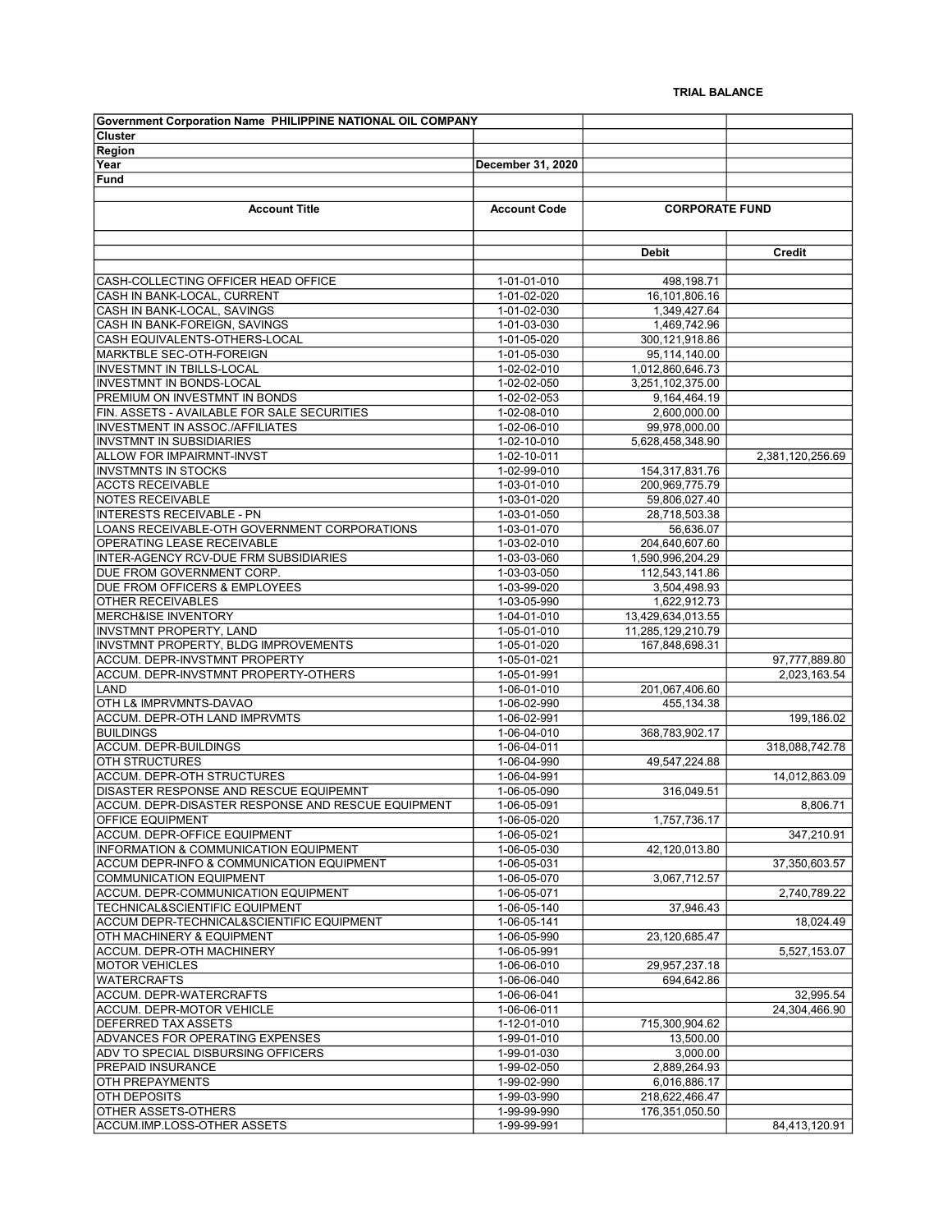| <b>Government Corporation Name PHILIPPINE NATIONAL OIL COMPANY</b>                            |                            |                               |                  |
|-----------------------------------------------------------------------------------------------|----------------------------|-------------------------------|------------------|
| <b>Cluster</b>                                                                                |                            |                               |                  |
| Region                                                                                        |                            |                               |                  |
| Year                                                                                          | December 31, 2020          |                               |                  |
| Fund                                                                                          |                            |                               |                  |
|                                                                                               |                            |                               |                  |
| <b>Account Title</b>                                                                          | <b>Account Code</b>        | <b>CORPORATE FUND</b>         |                  |
|                                                                                               |                            |                               |                  |
|                                                                                               |                            |                               |                  |
|                                                                                               |                            | <b>Debit</b>                  | Credit           |
|                                                                                               |                            |                               |                  |
| CASH-COLLECTING OFFICER HEAD OFFICE                                                           | 1-01-01-010                | 498,198.71                    |                  |
| CASH IN BANK-LOCAL, CURRENT                                                                   | 1-01-02-020                | 16,101,806.16                 |                  |
| CASH IN BANK-LOCAL, SAVINGS                                                                   | 1-01-02-030                | 1,349,427.64                  |                  |
| CASH IN BANK-FOREIGN, SAVINGS                                                                 | 1-01-03-030                | 1,469,742.96                  |                  |
| CASH EQUIVALENTS-OTHERS-LOCAL                                                                 | 1-01-05-020                | 300,121,918.86                |                  |
| MARKTBLE SEC-OTH-FOREIGN                                                                      | 1-01-05-030                | 95,114,140.00                 |                  |
| <b>INVESTMNT IN TBILLS-LOCAL</b>                                                              | 1-02-02-010                | 1,012,860,646.73              |                  |
| <b>INVESTMNT IN BONDS-LOCAL</b>                                                               | 1-02-02-050                | 3,251,102,375.00              |                  |
| PREMIUM ON INVESTMNT IN BONDS                                                                 | 1-02-02-053                | 9,164,464.19                  |                  |
| FIN. ASSETS - AVAILABLE FOR SALE SECURITIES                                                   | 1-02-08-010                | 2,600,000.00<br>99,978,000.00 |                  |
| <b>INVESTMENT IN ASSOC./AFFILIATES</b>                                                        | 1-02-06-010                | 5.628.458.348.90              |                  |
| <b>INVSTMNT IN SUBSIDIARIES</b><br><b>ALLOW FOR IMPAIRMNT-INVST</b>                           | 1-02-10-010                |                               |                  |
| <b>INVSTMNTS IN STOCKS</b>                                                                    | 1-02-10-011<br>1-02-99-010 | 154,317,831.76                | 2,381,120,256.69 |
| <b>ACCTS RECEIVABLE</b>                                                                       |                            | 200,969,775.79                |                  |
| <b>NOTES RECEIVABLE</b>                                                                       | 1-03-01-010<br>1-03-01-020 | 59,806,027.40                 |                  |
| <b>INTERESTS RECEIVABLE - PN</b>                                                              | 1-03-01-050                | 28,718,503.38                 |                  |
| LOANS RECEIVABLE-OTH GOVERNMENT CORPORATIONS                                                  | 1-03-01-070                | 56,636.07                     |                  |
| OPERATING LEASE RECEIVABLE                                                                    | 1-03-02-010                | 204,640,607.60                |                  |
| INTER-AGENCY RCV-DUE FRM SUBSIDIARIES                                                         | 1-03-03-060                | 1,590,996,204.29              |                  |
| DUE FROM GOVERNMENT CORP.                                                                     | 1-03-03-050                | 112,543,141.86                |                  |
| DUE FROM OFFICERS & EMPLOYEES                                                                 | 1-03-99-020                | 3,504,498.93                  |                  |
| <b>OTHER RECEIVABLES</b>                                                                      | 1-03-05-990                | 1,622,912.73                  |                  |
| <b>MERCH&amp;ISE INVENTORY</b>                                                                | 1-04-01-010                | 13,429,634,013.55             |                  |
| <b>INVSTMNT PROPERTY, LAND</b>                                                                | 1-05-01-010                | 11,285,129,210.79             |                  |
| INVSTMNT PROPERTY, BLDG IMPROVEMENTS                                                          | 1-05-01-020                | 167,848,698.31                |                  |
| ACCUM. DEPR-INVSTMNT PROPERTY                                                                 | 1-05-01-021                |                               | 97,777,889.80    |
| ACCUM. DEPR-INVSTMNT PROPERTY-OTHERS                                                          | $1-05-01-991$              |                               | 2,023,163.54     |
| LAND                                                                                          | 1-06-01-010                | 201,067,406.60                |                  |
| OTH L& IMPRVMNTS-DAVAO                                                                        | 1-06-02-990                | 455,134.38                    |                  |
| ACCUM. DEPR-OTH LAND IMPRVMTS                                                                 | 1-06-02-991                |                               | 199,186.02       |
| <b>BUILDINGS</b>                                                                              | 1-06-04-010                | 368,783,902.17                |                  |
| <b>ACCUM. DEPR-BUILDINGS</b>                                                                  | 1-06-04-011                |                               | 318,088,742.78   |
| <b>OTH STRUCTURES</b>                                                                         | 1-06-04-990                | 49,547,224.88                 |                  |
| ACCUM. DEPR-OTH STRUCTURES                                                                    | 1-06-04-991                |                               | 14,012,863.09    |
| DISASTER RESPONSE AND RESCUE EQUIPEMNT                                                        | 1-06-05-090                | 316,049.51                    |                  |
| ACCUM. DEPR-DISASTER RESPONSE AND RESCUE EQUIPMENT                                            | 1-06-05-091                |                               | 8,806.71         |
| <b>OFFICE EQUIPMENT</b>                                                                       | 1-06-05-020                | 1,757,736.17                  |                  |
| ACCUM. DEPR-OFFICE EQUIPMENT                                                                  | 1-06-05-021                |                               | 347.210.91       |
| <b>INFORMATION &amp; COMMUNICATION EQUIPMENT</b><br>ACCUM DEPR-INFO & COMMUNICATION EQUIPMENT | 1-06-05-030<br>1-06-05-031 | 42,120,013.80                 |                  |
| <b>COMMUNICATION EQUIPMENT</b>                                                                | 1-06-05-070                | 3,067,712.57                  | 37,350,603.57    |
| ACCUM. DEPR-COMMUNICATION EQUIPMENT                                                           | 1-06-05-071                |                               | 2,740,789.22     |
| TECHNICAL&SCIENTIFIC EQUIPMENT                                                                | 1-06-05-140                | 37,946.43                     |                  |
| ACCUM DEPR-TECHNICAL&SCIENTIFIC EQUIPMENT                                                     | 1-06-05-141                |                               | 18,024.49        |
| OTH MACHINERY & EQUIPMENT                                                                     | 1-06-05-990                | 23,120,685.47                 |                  |
| ACCUM. DEPR-OTH MACHINERY                                                                     | 1-06-05-991                |                               | 5,527,153.07     |
| <b>MOTOR VEHICLES</b>                                                                         | 1-06-06-010                | 29,957,237.18                 |                  |
| <b>WATERCRAFTS</b>                                                                            | 1-06-06-040                | 694.642.86                    |                  |
| ACCUM. DEPR-WATERCRAFTS                                                                       | 1-06-06-041                |                               | 32,995.54        |
| ACCUM. DEPR-MOTOR VEHICLE                                                                     | 1-06-06-011                |                               | 24,304,466.90    |
| <b>DEFERRED TAX ASSETS</b>                                                                    | 1-12-01-010                | 715,300,904.62                |                  |
| ADVANCES FOR OPERATING EXPENSES                                                               | 1-99-01-010                | 13,500.00                     |                  |
| ADV TO SPECIAL DISBURSING OFFICERS                                                            | 1-99-01-030                | 3,000.00                      |                  |
| <b>PREPAID INSURANCE</b>                                                                      | 1-99-02-050                | 2,889,264.93                  |                  |
| <b>OTH PREPAYMENTS</b>                                                                        | 1-99-02-990                | 6,016,886.17                  |                  |
| <b>OTH DEPOSITS</b>                                                                           | 1-99-03-990                | 218,622,466.47                |                  |
| OTHER ASSETS-OTHERS                                                                           | 1-99-99-990                | 176,351,050.50                |                  |
| ACCUM.IMP.LOSS-OTHER ASSETS                                                                   | 1-99-99-991                |                               | 84,413,120.91    |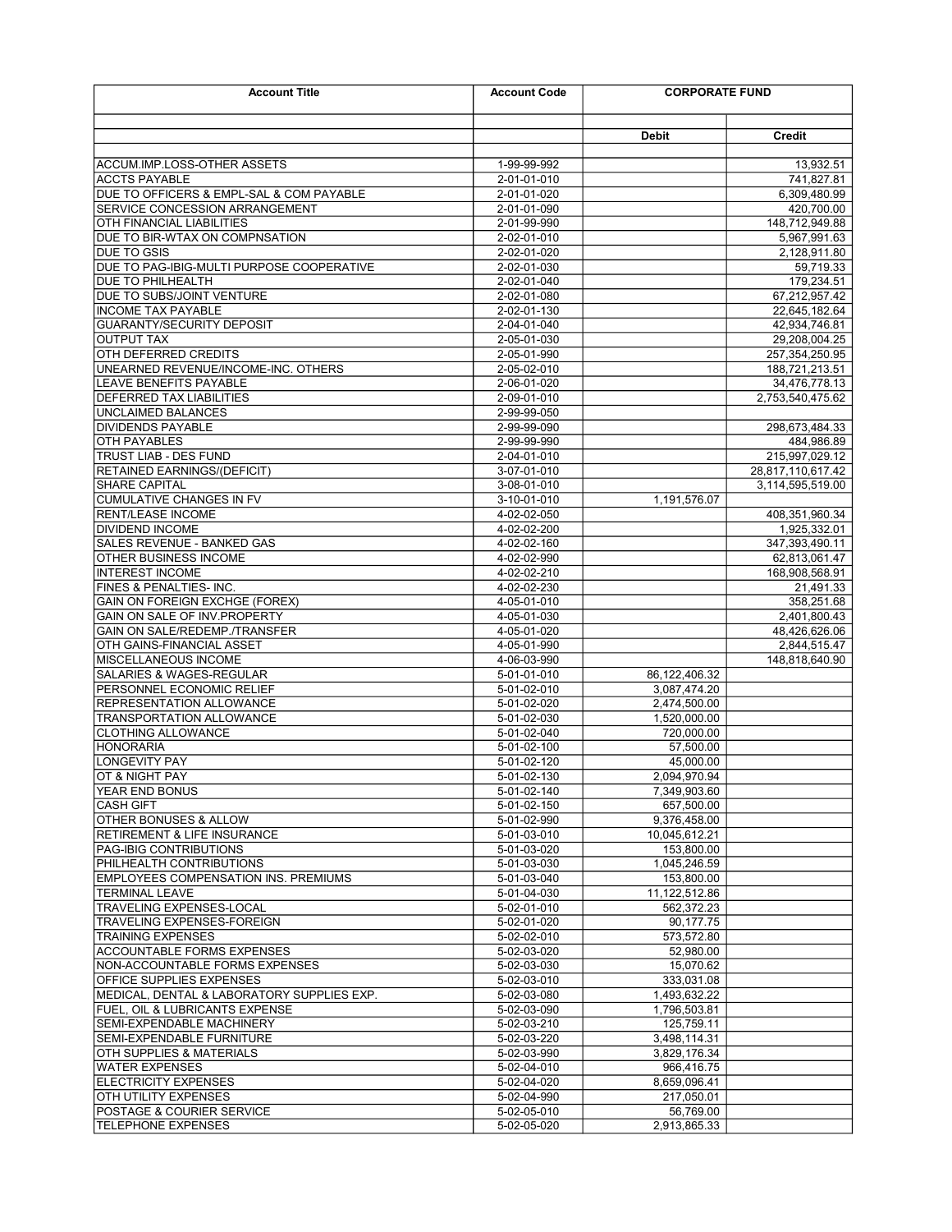| <b>Account Title</b>                                                 | <b>CORPORATE FUND</b><br><b>Account Code</b> |                             |                                       |
|----------------------------------------------------------------------|----------------------------------------------|-----------------------------|---------------------------------------|
|                                                                      |                                              | Debit                       | Credit                                |
|                                                                      |                                              |                             |                                       |
| <b>ACCUM.IMP.LOSS-OTHER ASSETS</b><br><b>ACCTS PAYABLE</b>           | 1-99-99-992<br>2-01-01-010                   |                             | 13,932.51<br>741,827.81               |
| DUE TO OFFICERS & EMPL-SAL & COM PAYABLE                             | 2-01-01-020                                  |                             | 6,309,480.99                          |
| SERVICE CONCESSION ARRANGEMENT                                       | 2-01-01-090                                  |                             | 420,700.00                            |
| OTH FINANCIAL LIABILITIES                                            | 2-01-99-990                                  |                             | 148,712,949.88                        |
| DUE TO BIR-WTAX ON COMPNSATION                                       | 2-02-01-010                                  |                             | 5,967,991.63                          |
| <b>DUE TO GSIS</b>                                                   | 2-02-01-020                                  |                             | 2,128,911.80                          |
| DUE TO PAG-IBIG-MULTI PURPOSE COOPERATIVE                            | 2-02-01-030                                  |                             | 59,719.33                             |
| <b>DUE TO PHILHEALTH</b>                                             | 2-02-01-040                                  |                             | 179,234.51                            |
| DUE TO SUBS/JOINT VENTURE                                            | 2-02-01-080                                  |                             | 67,212,957.42                         |
| <b>INCOME TAX PAYABLE</b>                                            | 2-02-01-130                                  |                             | 22,645,182.64                         |
| <b>GUARANTY/SECURITY DEPOSIT</b>                                     | 2-04-01-040                                  |                             | 42,934,746.81                         |
| <b>OUTPUT TAX</b>                                                    | 2-05-01-030                                  |                             | 29,208,004.25                         |
| OTH DEFERRED CREDITS                                                 | 2-05-01-990                                  |                             | 257,354,250.95                        |
| UNEARNED REVENUE/INCOME-INC. OTHERS                                  | 2-05-02-010                                  |                             | 188,721,213.51                        |
| LEAVE BENEFITS PAYABLE                                               | 2-06-01-020                                  |                             | 34,476,778.13                         |
| <b>DEFERRED TAX LIABILITIES</b>                                      | 2-09-01-010                                  |                             | 2,753,540,475.62                      |
| <b>UNCLAIMED BALANCES</b>                                            | 2-99-99-050                                  |                             |                                       |
| <b>DIVIDENDS PAYABLE</b>                                             | 2-99-99-090                                  |                             | 298,673,484.33                        |
| <b>OTH PAYABLES</b>                                                  | 2-99-99-990                                  |                             | 484,986.89                            |
| <b>TRUST LIAB - DES FUND</b>                                         | 2-04-01-010                                  |                             | 215,997,029.12                        |
| <b>RETAINED EARNINGS/(DEFICIT)</b><br><b>SHARE CAPITAL</b>           | 3-07-01-010<br>3-08-01-010                   |                             | 28,817,110,617.42<br>3,114,595,519.00 |
| <b>CUMULATIVE CHANGES IN FV</b>                                      |                                              |                             |                                       |
| <b>RENT/LEASE INCOME</b>                                             | 3-10-01-010<br>4-02-02-050                   | 1,191,576.07                |                                       |
| <b>DIVIDEND INCOME</b>                                               | 4-02-02-200                                  |                             | 408,351,960.34<br>1,925,332.01        |
| SALES REVENUE - BANKED GAS                                           | 4-02-02-160                                  |                             | 347,393,490.11                        |
| OTHER BUSINESS INCOME                                                | 4-02-02-990                                  |                             | 62,813,061.47                         |
| <b>INTEREST INCOME</b>                                               | 4-02-02-210                                  |                             | 168,908,568.91                        |
| FINES & PENALTIES-INC.                                               | 4-02-02-230                                  |                             | 21,491.33                             |
| <b>GAIN ON FOREIGN EXCHGE (FOREX)</b>                                | 4-05-01-010                                  |                             | 358,251.68                            |
| GAIN ON SALE OF INV. PROPERTY                                        | 4-05-01-030                                  |                             | 2,401,800.43                          |
| GAIN ON SALE/REDEMP./TRANSFER                                        | 4-05-01-020                                  |                             | 48,426,626.06                         |
| OTH GAINS-FINANCIAL ASSET                                            | 4-05-01-990                                  |                             | 2,844,515.47                          |
| MISCELLANEOUS INCOME                                                 | 4-06-03-990                                  |                             | 148,818,640.90                        |
| <b>SALARIES &amp; WAGES-REGULAR</b>                                  | 5-01-01-010                                  | 86,122,406.32               |                                       |
| PERSONNEL ECONOMIC RELIEF                                            | 5-01-02-010                                  | 3,087,474.20                |                                       |
| <b>REPRESENTATION ALLOWANCE</b>                                      | 5-01-02-020                                  | 2.474.500.00                |                                       |
| TRANSPORTATION ALLOWANCE                                             | 5-01-02-030                                  | 1,520,000.00                |                                       |
| <b>CLOTHING ALLOWANCE</b>                                            | 5-01-02-040                                  | 720.000.00                  |                                       |
| <b>HONORARIA</b>                                                     | 5-01-02-100                                  | 57,500.00                   |                                       |
| <b>LONGEVITY PAY</b>                                                 | 5-01-02-120                                  | 45.000.00                   |                                       |
| OT & NIGHT PAY                                                       | 5-01-02-130                                  | 2.094.970.94                |                                       |
| YEAR END BONUS                                                       | 5-01-02-140                                  | 7,349,903.60                |                                       |
| <b>CASH GIFT</b>                                                     | 5-01-02-150                                  | 657,500.00                  |                                       |
| OTHER BONUSES & ALLOW                                                | 5-01-02-990                                  | 9,376,458.00                |                                       |
| <b>RETIREMENT &amp; LIFE INSURANCE</b>                               | 5-01-03-010                                  | 10,045,612.21               |                                       |
| PAG-IBIG CONTRIBUTIONS                                               | 5-01-03-020                                  | 153,800.00                  |                                       |
| PHILHEALTH CONTRIBUTIONS                                             | 5-01-03-030                                  | 1,045,246.59                |                                       |
| <b>EMPLOYEES COMPENSATION INS. PREMIUMS</b><br><b>TERMINAL LEAVE</b> | 5-01-03-040                                  | 153,800.00                  |                                       |
| <b>TRAVELING EXPENSES-LOCAL</b>                                      | 5-01-04-030<br>5-02-01-010                   | 11,122,512.86<br>562,372.23 |                                       |
| TRAVELING EXPENSES-FOREIGN                                           | 5-02-01-020                                  | 90,177.75                   |                                       |
| <b>TRAINING EXPENSES</b>                                             | 5-02-02-010                                  | 573,572.80                  |                                       |
| <b>ACCOUNTABLE FORMS EXPENSES</b>                                    | 5-02-03-020                                  | 52,980.00                   |                                       |
| NON-ACCOUNTABLE FORMS EXPENSES                                       | 5-02-03-030                                  | 15,070.62                   |                                       |
| <b>OFFICE SUPPLIES EXPENSES</b>                                      | 5-02-03-010                                  | 333,031.08                  |                                       |
| MEDICAL, DENTAL & LABORATORY SUPPLIES EXP.                           | 5-02-03-080                                  | 1,493,632.22                |                                       |
| <b>FUEL, OIL &amp; LUBRICANTS EXPENSE</b>                            | 5-02-03-090                                  | 1,796,503.81                |                                       |
| <b>SEMI-EXPENDABLE MACHINERY</b>                                     | 5-02-03-210                                  | 125,759.11                  |                                       |
| SEMI-EXPENDABLE FURNITURE                                            | 5-02-03-220                                  | 3,498,114.31                |                                       |
| OTH SUPPLIES & MATERIALS                                             | 5-02-03-990                                  | 3,829,176.34                |                                       |
| WATER EXPENSES                                                       | 5-02-04-010                                  | 966,416.75                  |                                       |
| <b>ELECTRICITY EXPENSES</b>                                          | 5-02-04-020                                  | 8,659,096.41                |                                       |
| OTH UTILITY EXPENSES                                                 | 5-02-04-990                                  | 217,050.01                  |                                       |
| <b>POSTAGE &amp; COURIER SERVICE</b>                                 | 5-02-05-010                                  | 56,769.00                   |                                       |
| <b>TELEPHONE EXPENSES</b>                                            | 5-02-05-020                                  | 2,913,865.33                |                                       |